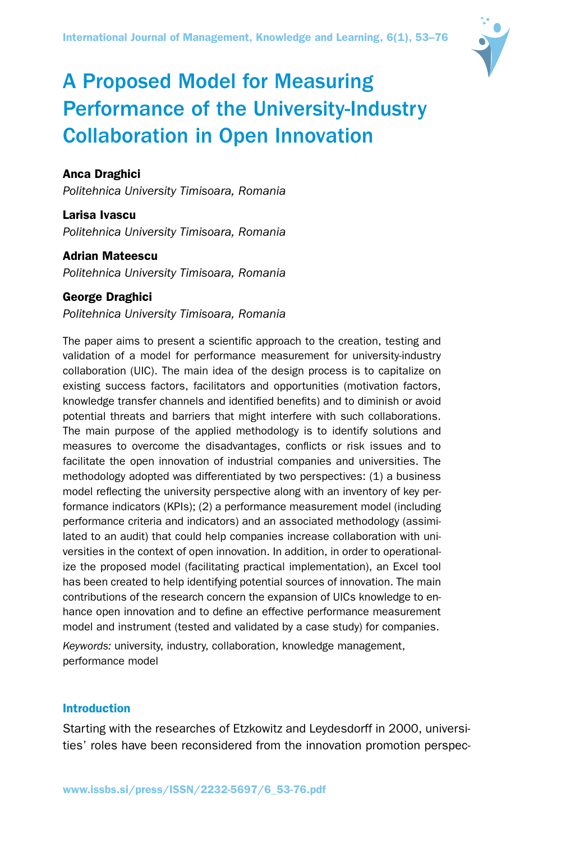

# A Proposed Model for Measuring Performance of the University-Industry Collaboration in Open Innovation

# Anca Draghici

*Politehnica University Timisoara, Romania*

Larisa Ivascu *Politehnica University Timisoara, Romania*

Adrian Mateescu *Politehnica University Timisoara, Romania*

## George Draghici

*Politehnica University Timisoara, Romania*

The paper aims to present a scientific approach to the creation, testing and validation of a model for performance measurement for university-industry collaboration (UIC). The main idea of the design process is to capitalize on existing success factors, facilitators and opportunities (motivation factors, knowledge transfer channels and identified benefits) and to diminish or avoid potential threats and barriers that might interfere with such collaborations. The main purpose of the applied methodology is to identify solutions and measures to overcome the disadvantages, conflicts or risk issues and to facilitate the open innovation of industrial companies and universities. The methodology adopted was differentiated by two perspectives: (1) a business model reflecting the university perspective along with an inventory of key performance indicators (KPIs); (2) a performance measurement model (including performance criteria and indicators) and an associated methodology (assimilated to an audit) that could help companies increase collaboration with universities in the context of open innovation. In addition, in order to operationalize the proposed model (facilitating practical implementation), an Excel tool has been created to help identifying potential sources of innovation. The main contributions of the research concern the expansion of UICs knowledge to enhance open innovation and to define an effective performance measurement model and instrument (tested and validated by a case study) for companies.

*Keywords:* university, industry, collaboration, knowledge management, performance model

# Introduction

Starting with the researches of Etzkowitz and Leydesdorff in 2000, universities' roles have been reconsidered from the innovation promotion perspec-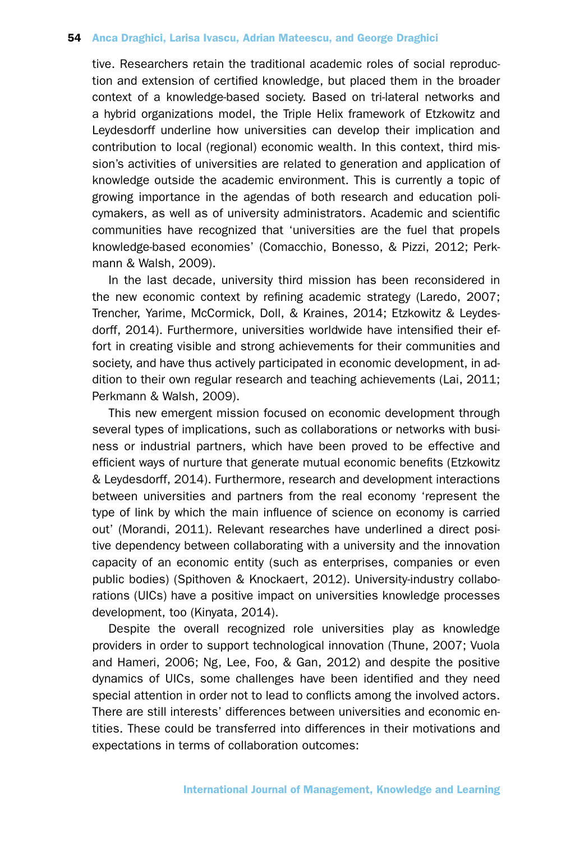tive. Researchers retain the traditional academic roles of social reproduction and extension of certified knowledge, but placed them in the broader context of a knowledge-based society. Based on tri-lateral networks and a hybrid organizations model, the Triple Helix framework of Etzkowitz and Leydesdorff underline how universities can develop their implication and contribution to local (regional) economic wealth. In this context, third mission's activities of universities are related to generation and application of knowledge outside the academic environment. This is currently a topic of growing importance in the agendas of both research and education policymakers, as well as of university administrators. Academic and scientific communities have recognized that 'universities are the fuel that propels knowledge-based economies' (Comacchio, Bonesso, & Pizzi, 2012; Perkmann & Walsh, 2009).

In the last decade, university third mission has been reconsidered in the new economic context by refining academic strategy (Laredo, 2007; Trencher, Yarime, McCormick, Doll, & Kraines, 2014; Etzkowitz & Leydesdorff, 2014). Furthermore, universities worldwide have intensified their effort in creating visible and strong achievements for their communities and society, and have thus actively participated in economic development, in addition to their own regular research and teaching achievements (Lai, 2011; Perkmann & Walsh, 2009).

This new emergent mission focused on economic development through several types of implications, such as collaborations or networks with business or industrial partners, which have been proved to be effective and efficient ways of nurture that generate mutual economic benefits (Etzkowitz & Leydesdorff, 2014). Furthermore, research and development interactions between universities and partners from the real economy 'represent the type of link by which the main influence of science on economy is carried out' (Morandi, 2011). Relevant researches have underlined a direct positive dependency between collaborating with a university and the innovation capacity of an economic entity (such as enterprises, companies or even public bodies) (Spithoven & Knockaert, 2012). University-industry collaborations (UICs) have a positive impact on universities knowledge processes development, too (Kinyata, 2014).

Despite the overall recognized role universities play as knowledge providers in order to support technological innovation (Thune, 2007; Vuola and Hameri, 2006; Ng, Lee, Foo, & Gan, 2012) and despite the positive dynamics of UICs, some challenges have been identified and they need special attention in order not to lead to conflicts among the involved actors. There are still interests' differences between universities and economic entities. These could be transferred into differences in their motivations and expectations in terms of collaboration outcomes: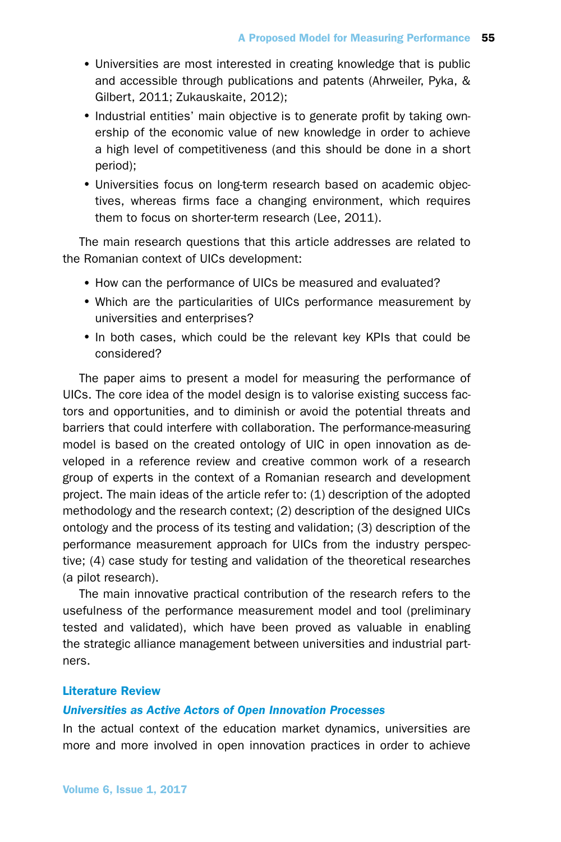- •Universities are most interested in creating knowledge that is public and accessible through publications and patents (Ahrweiler, Pyka, & Gilbert, 2011; Zukauskaite, 2012);
- Industrial entities' main objective is to generate profit by taking ownership of the economic value of new knowledge in order to achieve a high level of competitiveness (and this should be done in a short period);
- •Universities focus on long-term research based on academic objectives, whereas firms face a changing environment, which requires them to focus on shorter-term research (Lee, 2011).

The main research questions that this article addresses are related to the Romanian context of UICs development:

- How can the performance of UICs be measured and evaluated?
- Which are the particularities of UICs performance measurement by universities and enterprises?
- In both cases, which could be the relevant key KPIs that could be considered?

The paper aims to present a model for measuring the performance of UICs. The core idea of the model design is to valorise existing success factors and opportunities, and to diminish or avoid the potential threats and barriers that could interfere with collaboration. The performance-measuring model is based on the created ontology of UIC in open innovation as developed in a reference review and creative common work of a research group of experts in the context of a Romanian research and development project. The main ideas of the article refer to: (1) description of the adopted methodology and the research context; (2) description of the designed UICs ontology and the process of its testing and validation; (3) description of the performance measurement approach for UICs from the industry perspective; (4) case study for testing and validation of the theoretical researches (a pilot research).

The main innovative practical contribution of the research refers to the usefulness of the performance measurement model and tool (preliminary tested and validated), which have been proved as valuable in enabling the strategic alliance management between universities and industrial partners.

## Literature Review

## *Universities as Active Actors of Open Innovation Processes*

In the actual context of the education market dynamics, universities are more and more involved in open innovation practices in order to achieve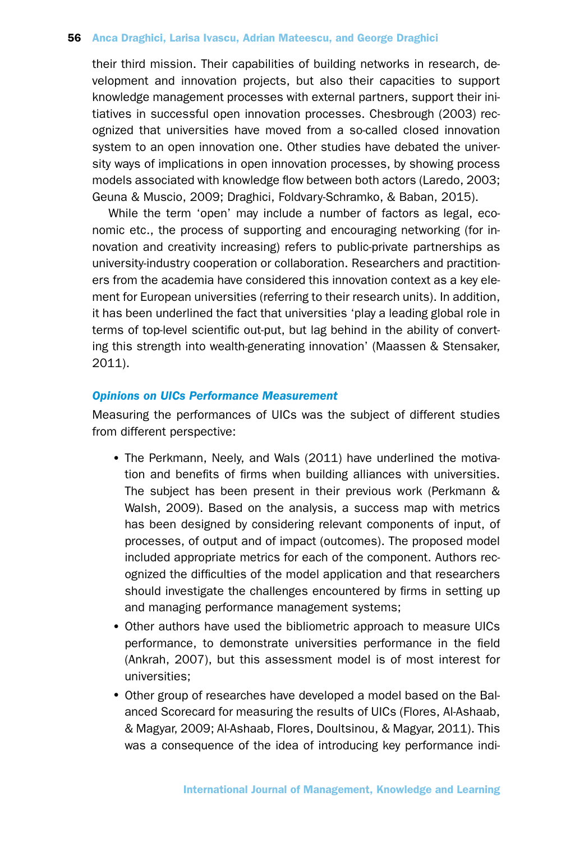their third mission. Their capabilities of building networks in research, development and innovation projects, but also their capacities to support knowledge management processes with external partners, support their initiatives in successful open innovation processes. Chesbrough (2003) recognized that universities have moved from a so-called closed innovation system to an open innovation one. Other studies have debated the university ways of implications in open innovation processes, by showing process models associated with knowledge flow between both actors (Laredo, 2003; Geuna & Muscio, 2009; Draghici, Foldvary-Schramko, & Baban, 2015).

While the term 'open' may include a number of factors as legal, economic etc., the process of supporting and encouraging networking (for innovation and creativity increasing) refers to public-private partnerships as university-industry cooperation or collaboration. Researchers and practitioners from the academia have considered this innovation context as a key element for European universities (referring to their research units). In addition, it has been underlined the fact that universities 'play a leading global role in terms of top-level scientific out-put, but lag behind in the ability of converting this strength into wealth-generating innovation' (Maassen & Stensaker, 2011).

### *Opinions on UICs Performance Measurement*

Measuring the performances of UICs was the subject of different studies from different perspective:

- The Perkmann, Neely, and Wals (2011) have underlined the motivation and benefits of firms when building alliances with universities. The subject has been present in their previous work (Perkmann & Walsh, 2009). Based on the analysis, a success map with metrics has been designed by considering relevant components of input, of processes, of output and of impact (outcomes). The proposed model included appropriate metrics for each of the component. Authors recognized the difficulties of the model application and that researchers should investigate the challenges encountered by firms in setting up and managing performance management systems;
- •Other authors have used the bibliometric approach to measure UICs performance, to demonstrate universities performance in the field (Ankrah, 2007), but this assessment model is of most interest for universities;
- •Other group of researches have developed a model based on the Balanced Scorecard for measuring the results of UICs (Flores, Al-Ashaab, & Magyar, 2009; Al-Ashaab, Flores, Doultsinou, & Magyar, 2011). This was a consequence of the idea of introducing key performance indi-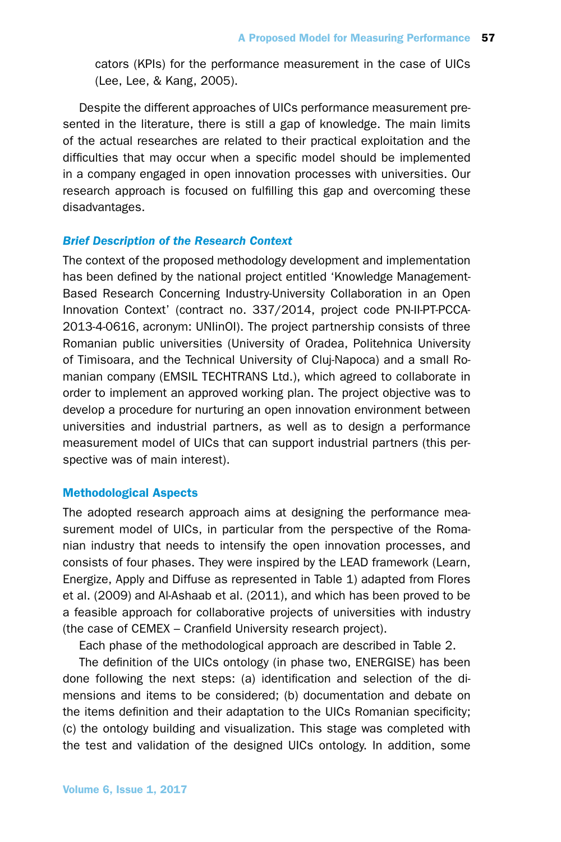cators (KPIs) for the performance measurement in the case of UICs (Lee, Lee, & Kang, 2005).

Despite the different approaches of UICs performance measurement presented in the literature, there is still a gap of knowledge. The main limits of the actual researches are related to their practical exploitation and the difficulties that may occur when a specific model should be implemented in a company engaged in open innovation processes with universities. Our research approach is focused on fulfilling this gap and overcoming these disadvantages.

# *Brief Description of the Research Context*

The context of the proposed methodology development and implementation has been defined by the national project entitled 'Knowledge Management-Based Research Concerning Industry-University Collaboration in an Open Innovation Context' (contract no. 337/2014, project code PN-II-PT-PCCA-2013-4-0616, acronym: UNIinOI). The project partnership consists of three Romanian public universities (University of Oradea, Politehnica University of Timisoara, and the Technical University of Cluj-Napoca) and a small Romanian company (EMSIL TECHTRANS Ltd.), which agreed to collaborate in order to implement an approved working plan. The project objective was to develop a procedure for nurturing an open innovation environment between universities and industrial partners, as well as to design a performance measurement model of UICs that can support industrial partners (this perspective was of main interest).

# Methodological Aspects

The adopted research approach aims at designing the performance measurement model of UICs, in particular from the perspective of the Romanian industry that needs to intensify the open innovation processes, and consists of four phases. They were inspired by the LEAD framework (Learn, Energize, Apply and Diffuse as represented in Table 1) adapted from Flores et al. (2009) and Al-Ashaab et al. (2011), and which has been proved to be a feasible approach for collaborative projects of universities with industry (the case of CEMEX – Cranfield University research project).

Each phase of the methodological approach are described in Table 2.

The definition of the UICs ontology (in phase two, ENERGISE) has been done following the next steps: (a) identification and selection of the dimensions and items to be considered; (b) documentation and debate on the items definition and their adaptation to the UICs Romanian specificity; (c) the ontology building and visualization. This stage was completed with the test and validation of the designed UICs ontology. In addition, some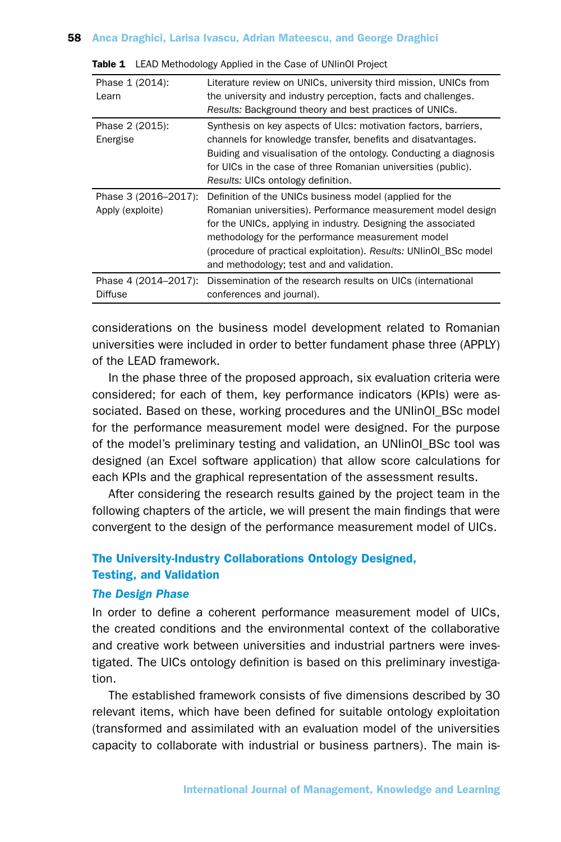| Phase 1 (2014):<br>Learn                 | Literature review on UNICs, university third mission, UNICs from<br>the university and industry perception, facts and challenges.<br>Results: Background theory and best practices of UNICs.                                                                                                                                                                    |
|------------------------------------------|-----------------------------------------------------------------------------------------------------------------------------------------------------------------------------------------------------------------------------------------------------------------------------------------------------------------------------------------------------------------|
| Phase 2 (2015):<br>Energise              | Synthesis on key aspects of Ulcs: motivation factors, barriers,<br>channels for knowledge transfer, benefits and disatvantages.<br>Buiding and visualisation of the ontology. Conducting a diagnosis<br>for UICs in the case of three Romanian universities (public).<br>Results: UICs ontology definition.                                                     |
|                                          |                                                                                                                                                                                                                                                                                                                                                                 |
| Phase 3 (2016-2017):<br>Apply (exploite) | Definition of the UNICs business model (applied for the<br>Romanian universities). Performance measurement model design<br>for the UNICs, applying in industry. Designing the associated<br>methodology for the performance measurement model<br>(procedure of practical exploitation). Results: UNIInOI BSc model<br>and methodology; test and and validation. |

|  | <b>Table 1</b> LEAD Methodology Applied in the Case of UNIinOI Project |  |  |  |
|--|------------------------------------------------------------------------|--|--|--|
|--|------------------------------------------------------------------------|--|--|--|

considerations on the business model development related to Romanian universities were included in order to better fundament phase three (APPLY) of the LEAD framework.

In the phase three of the proposed approach, six evaluation criteria were considered; for each of them, key performance indicators (KPIs) were associated. Based on these, working procedures and the UNIinOI\_BSc model for the performance measurement model were designed. For the purpose of the model's preliminary testing and validation, an UNIinOI\_BSc tool was designed (an Excel software application) that allow score calculations for each KPIs and the graphical representation of the assessment results.

After considering the research results gained by the project team in the following chapters of the article, we will present the main findings that were convergent to the design of the performance measurement model of UICs.

# The University-Industry Collaborations Ontology Designed, Testing, and Validation

# *The Design Phase*

In order to define a coherent performance measurement model of UICs, the created conditions and the environmental context of the collaborative and creative work between universities and industrial partners were investigated. The UICs ontology definition is based on this preliminary investigation.

The established framework consists of five dimensions described by 30 relevant items, which have been defined for suitable ontology exploitation (transformed and assimilated with an evaluation model of the universities capacity to collaborate with industrial or business partners). The main is-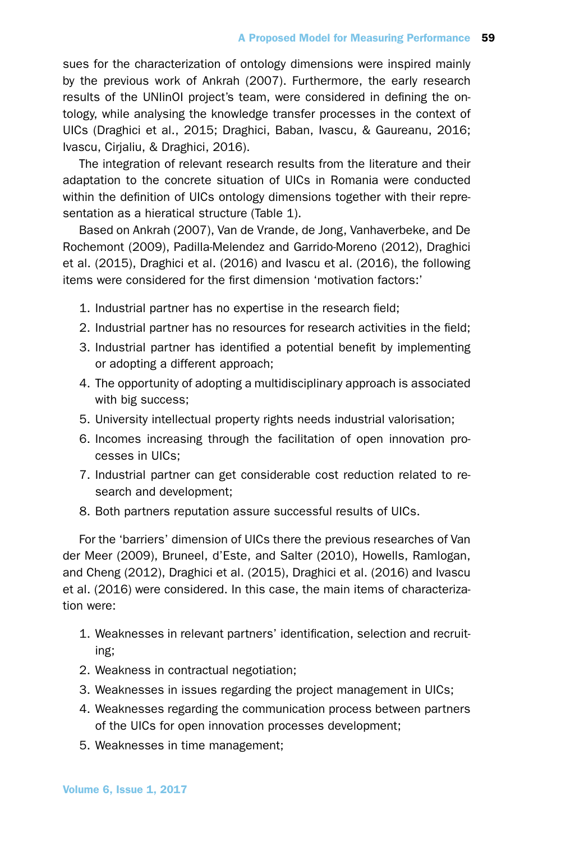sues for the characterization of ontology dimensions were inspired mainly by the previous work of Ankrah (2007). Furthermore, the early research results of the UNIinOI project's team, were considered in defining the ontology, while analysing the knowledge transfer processes in the context of UICs (Draghici et al., 2015; Draghici, Baban, Ivascu, & Gaureanu, 2016; Ivascu, Cirjaliu, & Draghici, 2016).

The integration of relevant research results from the literature and their adaptation to the concrete situation of UICs in Romania were conducted within the definition of UICs ontology dimensions together with their representation as a hieratical structure (Table 1).

Based on Ankrah (2007), Van de Vrande, de Jong, Vanhaverbeke, and De Rochemont (2009), Padilla-Melendez and Garrido-Moreno (2012), Draghici et al. (2015), Draghici et al. (2016) and Ivascu et al. (2016), the following items were considered for the first dimension 'motivation factors:'

- 1. Industrial partner has no expertise in the research field;
- 2. Industrial partner has no resources for research activities in the field;
- 3. Industrial partner has identified a potential benefit by implementing or adopting a different approach;
- 4. The opportunity of adopting a multidisciplinary approach is associated with big success;
- 5. University intellectual property rights needs industrial valorisation;
- 6. Incomes increasing through the facilitation of open innovation processes in UICs;
- 7. Industrial partner can get considerable cost reduction related to research and development;
- 8. Both partners reputation assure successful results of UICs.

For the 'barriers' dimension of UICs there the previous researches of Van der Meer (2009), Bruneel, d'Este, and Salter (2010), Howells, Ramlogan, and Cheng (2012), Draghici et al. (2015), Draghici et al. (2016) and Ivascu et al. (2016) were considered. In this case, the main items of characterization were:

- 1. Weaknesses in relevant partners' identification, selection and recruiting;
- 2. Weakness in contractual negotiation;
- 3. Weaknesses in issues regarding the project management in UICs;
- 4. Weaknesses regarding the communication process between partners of the UICs for open innovation processes development;
- 5. Weaknesses in time management;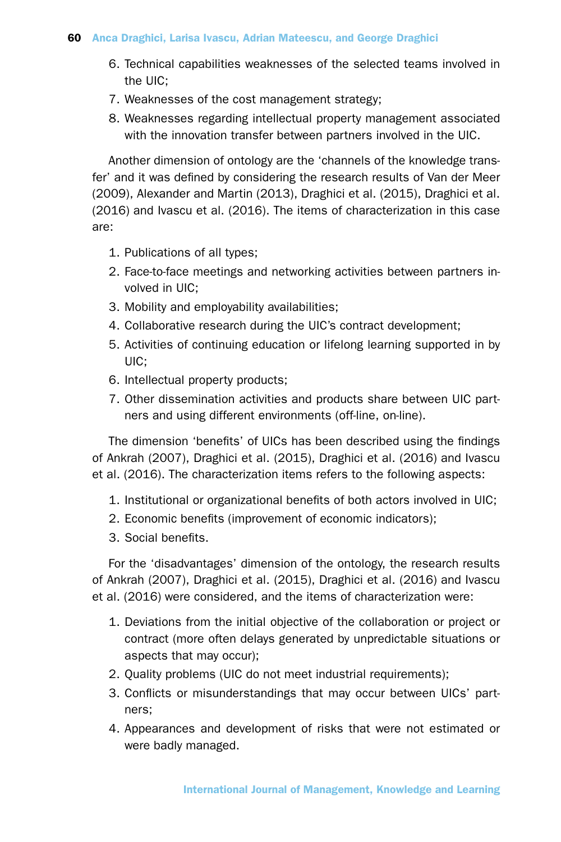- 6. Technical capabilities weaknesses of the selected teams involved in the UIC;
- 7. Weaknesses of the cost management strategy;
- 8. Weaknesses regarding intellectual property management associated with the innovation transfer between partners involved in the UIC.

Another dimension of ontology are the 'channels of the knowledge transfer' and it was defined by considering the research results of Van der Meer (2009), Alexander and Martin (2013), Draghici et al. (2015), Draghici et al. (2016) and Ivascu et al. (2016). The items of characterization in this case are:

- 1. Publications of all types;
- 2. Face-to-face meetings and networking activities between partners involved in UIC;
- 3. Mobility and employability availabilities;
- 4. Collaborative research during the UIC's contract development;
- 5. Activities of continuing education or lifelong learning supported in by UIC;
- 6. Intellectual property products;
- 7. Other dissemination activities and products share between UIC partners and using different environments (off-line, on-line).

The dimension 'benefits' of UICs has been described using the findings of Ankrah (2007), Draghici et al. (2015), Draghici et al. (2016) and Ivascu et al. (2016). The characterization items refers to the following aspects:

- 1. Institutional or organizational benefits of both actors involved in UIC;
- 2. Economic benefits (improvement of economic indicators);
- 3. Social benefits.

For the 'disadvantages' dimension of the ontology, the research results of Ankrah (2007), Draghici et al. (2015), Draghici et al. (2016) and Ivascu et al. (2016) were considered, and the items of characterization were:

- 1. Deviations from the initial objective of the collaboration or project or contract (more often delays generated by unpredictable situations or aspects that may occur);
- 2. Quality problems (UIC do not meet industrial requirements);
- 3. Conflicts or misunderstandings that may occur between UICs' partners;
- 4. Appearances and development of risks that were not estimated or were badly managed.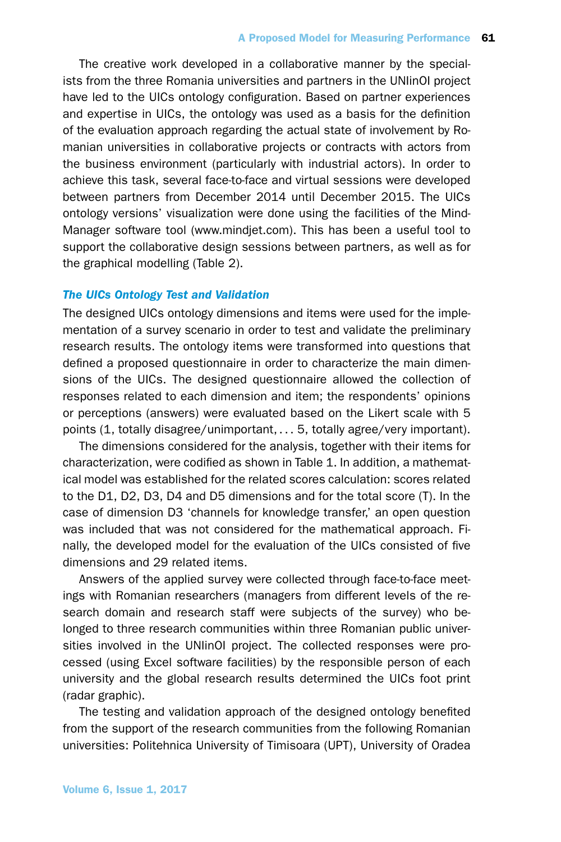The creative work developed in a collaborative manner by the specialists from the three Romania universities and partners in the UNIinOI project have led to the UICs ontology configuration. Based on partner experiences and expertise in UICs, the ontology was used as a basis for the definition of the evaluation approach regarding the actual state of involvement by Romanian universities in collaborative projects or contracts with actors from the business environment (particularly with industrial actors). In order to achieve this task, several face-to-face and virtual sessions were developed between partners from December 2014 until December 2015. The UICs ontology versions' visualization were done using the facilities of the Mind-Manager software tool (www.mindjet.com). This has been a useful tool to support the collaborative design sessions between partners, as well as for the graphical modelling (Table 2).

## *The UICs Ontology Test and Validation*

The designed UICs ontology dimensions and items were used for the implementation of a survey scenario in order to test and validate the preliminary research results. The ontology items were transformed into questions that defined a proposed questionnaire in order to characterize the main dimensions of the UICs. The designed questionnaire allowed the collection of responses related to each dimension and item; the respondents' opinions or perceptions (answers) were evaluated based on the Likert scale with 5 points (1, totally disagree/unimportant, . . . 5, totally agree/very important).

The dimensions considered for the analysis, together with their items for characterization, were codified as shown in Table 1. In addition, a mathematical model was established for the related scores calculation: scores related to the D1, D2, D3, D4 and D5 dimensions and for the total score (T). In the case of dimension D3 'channels for knowledge transfer,' an open question was included that was not considered for the mathematical approach. Finally, the developed model for the evaluation of the UICs consisted of five dimensions and 29 related items.

Answers of the applied survey were collected through face-to-face meetings with Romanian researchers (managers from different levels of the research domain and research staff were subjects of the survey) who belonged to three research communities within three Romanian public universities involved in the UNIinOI project. The collected responses were processed (using Excel software facilities) by the responsible person of each university and the global research results determined the UICs foot print (radar graphic).

The testing and validation approach of the designed ontology benefited from the support of the research communities from the following Romanian universities: Politehnica University of Timisoara (UPT), University of Oradea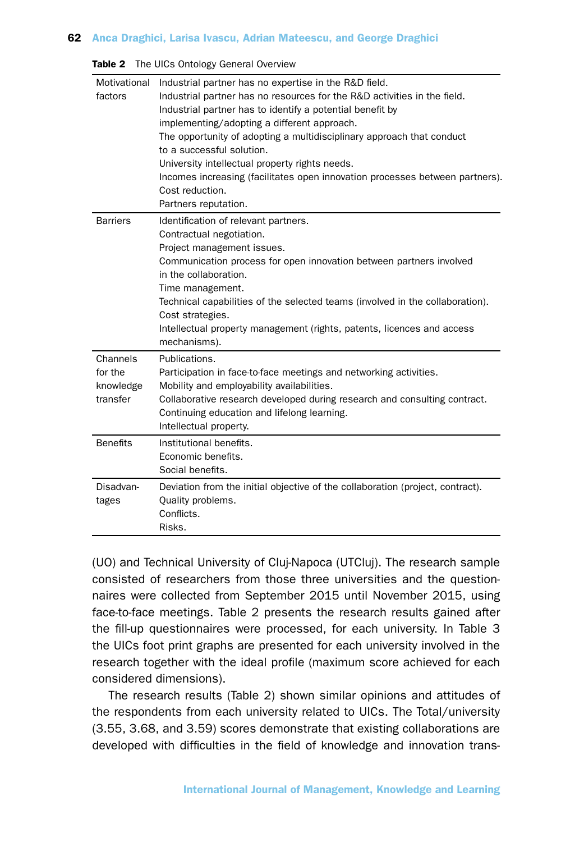| Motivational<br>factors                      | Industrial partner has no expertise in the R&D field.<br>Industrial partner has no resources for the R&D activities in the field.<br>Industrial partner has to identify a potential benefit by<br>implementing/adopting a different approach.<br>The opportunity of adopting a multidisciplinary approach that conduct<br>to a successful solution.<br>University intellectual property rights needs.<br>Incomes increasing (facilitates open innovation processes between partners).<br>Cost reduction.<br>Partners reputation. |
|----------------------------------------------|----------------------------------------------------------------------------------------------------------------------------------------------------------------------------------------------------------------------------------------------------------------------------------------------------------------------------------------------------------------------------------------------------------------------------------------------------------------------------------------------------------------------------------|
| Barriers                                     | Identification of relevant partners.<br>Contractual negotiation.<br>Project management issues.<br>Communication process for open innovation between partners involved<br>in the collaboration.<br>Time management.<br>Technical capabilities of the selected teams (involved in the collaboration).<br>Cost strategies.<br>Intellectual property management (rights, patents, licences and access<br>mechanisms).                                                                                                                |
| Channels<br>for the<br>knowledge<br>transfer | Publications.<br>Participation in face-to-face meetings and networking activities.<br>Mobility and employability availabilities.<br>Collaborative research developed during research and consulting contract.<br>Continuing education and lifelong learning.<br>Intellectual property.                                                                                                                                                                                                                                           |
| <b>Benefits</b>                              | Institutional benefits.<br>Economic benefits.<br>Social benefits.                                                                                                                                                                                                                                                                                                                                                                                                                                                                |
| Disadvan-<br>tages                           | Deviation from the initial objective of the collaboration (project, contract).<br>Quality problems.<br>Conflicts.<br>Risks.                                                                                                                                                                                                                                                                                                                                                                                                      |

Table 2 The UICs Ontology General Overview

(UO) and Technical University of Cluj-Napoca (UTCluj). The research sample consisted of researchers from those three universities and the questionnaires were collected from September 2015 until November 2015, using face-to-face meetings. Table 2 presents the research results gained after the fill-up questionnaires were processed, for each university. In Table 3 the UICs foot print graphs are presented for each university involved in the research together with the ideal profile (maximum score achieved for each considered dimensions).

The research results (Table 2) shown similar opinions and attitudes of the respondents from each university related to UICs. The Total/university (3.55, 3.68, and 3.59) scores demonstrate that existing collaborations are developed with difficulties in the field of knowledge and innovation trans-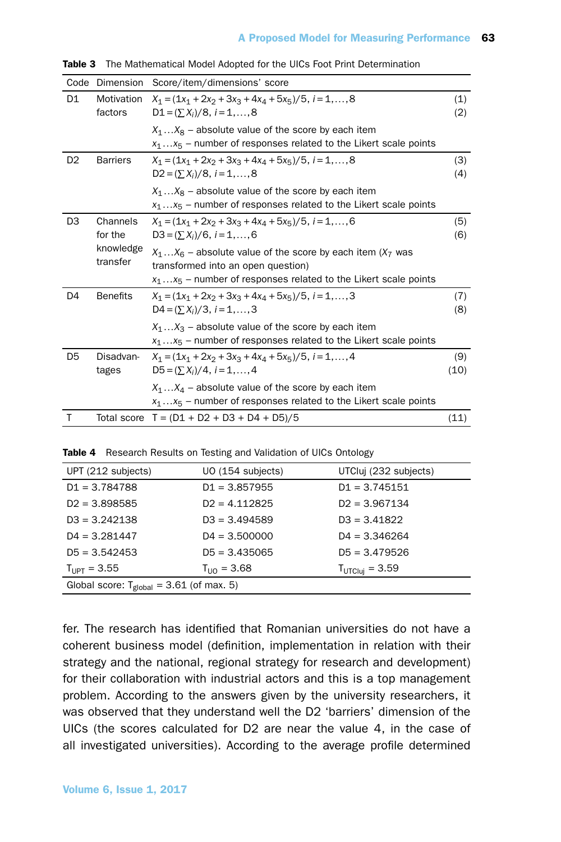| Code           | Dimension             | Score/item/dimensions' score                                                                                                                                               |             |
|----------------|-----------------------|----------------------------------------------------------------------------------------------------------------------------------------------------------------------------|-------------|
| D1             | Motivation<br>factors | $X_1 = (1x_1 + 2x_2 + 3x_3 + 4x_4 + 5x_5)/5$ , $i = 1,,8$<br>$D1 = (\sum X_i)/8, i = 1, , 8$                                                                               | (1)<br>(2)  |
|                |                       | $X_1X_8$ – absolute value of the score by each item<br>$x_1x_5$ – number of responses related to the Likert scale points                                                   |             |
| D <sub>2</sub> | <b>Barriers</b>       | $X_1 = (1x_1 + 2x_2 + 3x_3 + 4x_4 + 5x_5)/5$ , $i = 1, , 8$<br>$D2 = (\sum X_i)/8, i = 1, , 8$                                                                             | (3)<br>(4)  |
|                |                       | $X_1X_8$ – absolute value of the score by each item<br>$x_1x_5$ – number of responses related to the Likert scale points                                                   |             |
| D <sub>3</sub> | Channels<br>for the   | $X_1 = (1x_1 + 2x_2 + 3x_3 + 4x_4 + 5x_5)/5$ . $i = 1,,6$<br>$D3 = (\sum X_i)/6$ , $i = 1, , 6$                                                                            | (5)<br>(6)  |
|                | knowledge<br>transfer | $X_1X_6$ – absolute value of the score by each item ( $X_7$ was<br>transformed into an open question)<br>$x_1x_5$ – number of responses related to the Likert scale points |             |
| D4             | <b>Benefits</b>       | $X_1 = (1x_1 + 2x_2 + 3x_3 + 4x_4 + 5x_5)/5$ . $i = 1,,3$<br>$D4 = (\sum X_i)/3, i = 1, , 3$                                                                               | (7)<br>(8)  |
|                |                       | $X_1X_3$ – absolute value of the score by each item<br>$x_1x_5$ – number of responses related to the Likert scale points                                                   |             |
| D5             | Disadvan-<br>tages    | $X_1 = (1x_1 + 2x_2 + 3x_3 + 4x_4 + 5x_5)/5$ , $i = 1,, 4$<br>$D5 = (\sum X_i)/4, i = 1, , 4$                                                                              | (9)<br>(10) |
|                |                       | $X_1X_4$ – absolute value of the score by each item<br>$x_1x_5$ – number of responses related to the Likert scale points                                                   |             |
| T              |                       | Total score $T = (D1 + D2 + D3 + D4 + D5)/5$                                                                                                                               | (11)        |

Table 3 The Mathematical Model Adopted for the UICs Foot Print Determination

Table 4 Research Results on Testing and Validation of UICs Ontology

| UPT (212 subjects)                                   | UO (154 subjects)       | UTCluj (232 subjects)      |  |  |
|------------------------------------------------------|-------------------------|----------------------------|--|--|
| $D1 = 3.784788$                                      | $D1 = 3.857955$         | $D1 = 3.745151$            |  |  |
| $D2 = 3.898585$                                      | $D2 = 4.112825$         | $D2 = 3.967134$            |  |  |
| $D3 = 3.242138$                                      | $D3 = 3.494589$         | $D3 = 3.41822$             |  |  |
| $D4 = 3.281447$                                      | $D4 = 3.500000$         | $D4 = 3.346264$            |  |  |
| $D5 = 3.542453$                                      | $D5 = 3.435065$         | $D5 = 3.479526$            |  |  |
| $T_{IIPT} = 3.55$                                    | $T_{\text{LID}} = 3.68$ | $T_{\text{UTClui}} = 3.59$ |  |  |
| Global score: $T_{\text{global}} = 3.61$ (of max. 5) |                         |                            |  |  |
|                                                      |                         |                            |  |  |

fer. The research has identified that Romanian universities do not have a coherent business model (definition, implementation in relation with their strategy and the national, regional strategy for research and development) for their collaboration with industrial actors and this is a top management problem. According to the answers given by the university researchers, it was observed that they understand well the D2 'barriers' dimension of the UICs (the scores calculated for D2 are near the value 4, in the case of all investigated universities). According to the average profile determined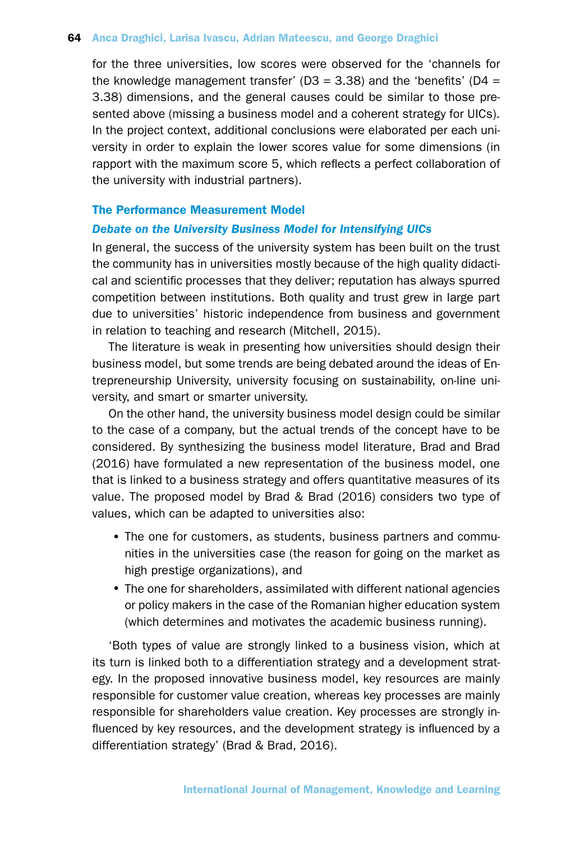for the three universities, low scores were observed for the 'channels for the knowledge management transfer' ( $D3 = 3.38$ ) and the 'benefits' ( $D4 =$ 3.38) dimensions, and the general causes could be similar to those presented above (missing a business model and a coherent strategy for UICs). In the project context, additional conclusions were elaborated per each university in order to explain the lower scores value for some dimensions (in rapport with the maximum score 5, which reflects a perfect collaboration of the university with industrial partners).

## The Performance Measurement Model

#### *Debate on the University Business Model for Intensifying UICs*

In general, the success of the university system has been built on the trust the community has in universities mostly because of the high quality didactical and scientific processes that they deliver; reputation has always spurred competition between institutions. Both quality and trust grew in large part due to universities' historic independence from business and government in relation to teaching and research (Mitchell, 2015).

The literature is weak in presenting how universities should design their business model, but some trends are being debated around the ideas of Entrepreneurship University, university focusing on sustainability, on-line university, and smart or smarter university.

On the other hand, the university business model design could be similar to the case of a company, but the actual trends of the concept have to be considered. By synthesizing the business model literature, Brad and Brad (2016) have formulated a new representation of the business model, one that is linked to a business strategy and offers quantitative measures of its value. The proposed model by Brad & Brad (2016) considers two type of values, which can be adapted to universities also:

- The one for customers, as students, business partners and communities in the universities case (the reason for going on the market as high prestige organizations), and
- The one for shareholders, assimilated with different national agencies or policy makers in the case of the Romanian higher education system (which determines and motivates the academic business running).

'Both types of value are strongly linked to a business vision, which at its turn is linked both to a differentiation strategy and a development strategy. In the proposed innovative business model, key resources are mainly responsible for customer value creation, whereas key processes are mainly responsible for shareholders value creation. Key processes are strongly influenced by key resources, and the development strategy is influenced by a differentiation strategy' (Brad & Brad, 2016).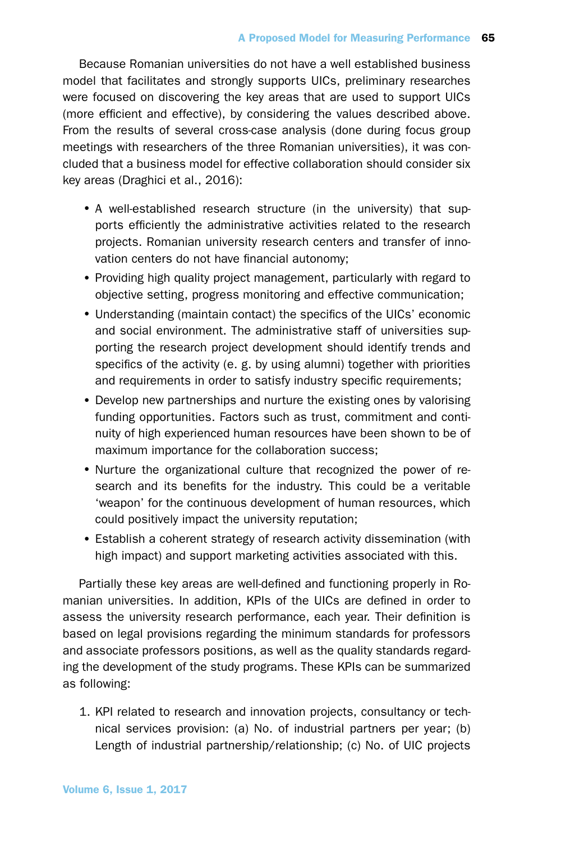Because Romanian universities do not have a well established business model that facilitates and strongly supports UICs, preliminary researches were focused on discovering the key areas that are used to support UICs (more efficient and effective), by considering the values described above. From the results of several cross-case analysis (done during focus group meetings with researchers of the three Romanian universities), it was concluded that a business model for effective collaboration should consider six key areas (Draghici et al., 2016):

- •A well-established research structure (in the university) that supports efficiently the administrative activities related to the research projects. Romanian university research centers and transfer of innovation centers do not have financial autonomy;
- •Providing high quality project management, particularly with regard to objective setting, progress monitoring and effective communication;
- •Understanding (maintain contact) the specifics of the UICs' economic and social environment. The administrative staff of universities supporting the research project development should identify trends and specifics of the activity (e. g. by using alumni) together with priorities and requirements in order to satisfy industry specific requirements;
- Develop new partnerships and nurture the existing ones by valorising funding opportunities. Factors such as trust, commitment and continuity of high experienced human resources have been shown to be of maximum importance for the collaboration success;
- Nurture the organizational culture that recognized the power of research and its benefits for the industry. This could be a veritable 'weapon' for the continuous development of human resources, which could positively impact the university reputation;
- •Establish a coherent strategy of research activity dissemination (with high impact) and support marketing activities associated with this.

Partially these key areas are well-defined and functioning properly in Romanian universities. In addition, KPIs of the UICs are defined in order to assess the university research performance, each year. Their definition is based on legal provisions regarding the minimum standards for professors and associate professors positions, as well as the quality standards regarding the development of the study programs. These KPIs can be summarized as following:

1. KPI related to research and innovation projects, consultancy or technical services provision: (a) No. of industrial partners per year; (b) Length of industrial partnership/relationship; (c) No. of UIC projects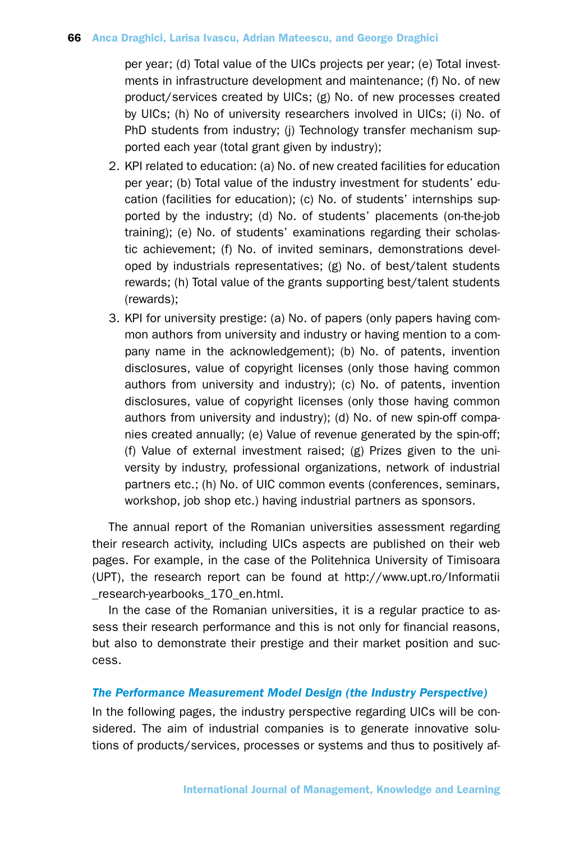per year; (d) Total value of the UICs projects per year; (e) Total investments in infrastructure development and maintenance; (f) No. of new product/services created by UICs; (g) No. of new processes created by UICs; (h) No of university researchers involved in UICs; (i) No. of PhD students from industry; (j) Technology transfer mechanism supported each year (total grant given by industry);

- 2. KPI related to education: (a) No. of new created facilities for education per year; (b) Total value of the industry investment for students' education (facilities for education); (c) No. of students' internships supported by the industry; (d) No. of students' placements (on-the-job training); (e) No. of students' examinations regarding their scholastic achievement; (f) No. of invited seminars, demonstrations developed by industrials representatives; (g) No. of best/talent students rewards; (h) Total value of the grants supporting best/talent students (rewards);
- 3. KPI for university prestige: (a) No. of papers (only papers having common authors from university and industry or having mention to a company name in the acknowledgement); (b) No. of patents, invention disclosures, value of copyright licenses (only those having common authors from university and industry); (c) No. of patents, invention disclosures, value of copyright licenses (only those having common authors from university and industry); (d) No. of new spin-off companies created annually; (e) Value of revenue generated by the spin-off; (f) Value of external investment raised; (g) Prizes given to the university by industry, professional organizations, network of industrial partners etc.; (h) No. of UIC common events (conferences, seminars, workshop, job shop etc.) having industrial partners as sponsors.

The annual report of the Romanian universities assessment regarding their research activity, including UICs aspects are published on their web pages. For example, in the case of the Politehnica University of Timisoara (UPT), the research report can be found at http://www.upt.ro/Informatii \_research-yearbooks\_170\_en.html.

In the case of the Romanian universities, it is a regular practice to assess their research performance and this is not only for financial reasons, but also to demonstrate their prestige and their market position and success.

#### *The Performance Measurement Model Design (the Industry Perspective)*

In the following pages, the industry perspective regarding UICs will be considered. The aim of industrial companies is to generate innovative solutions of products/services, processes or systems and thus to positively af-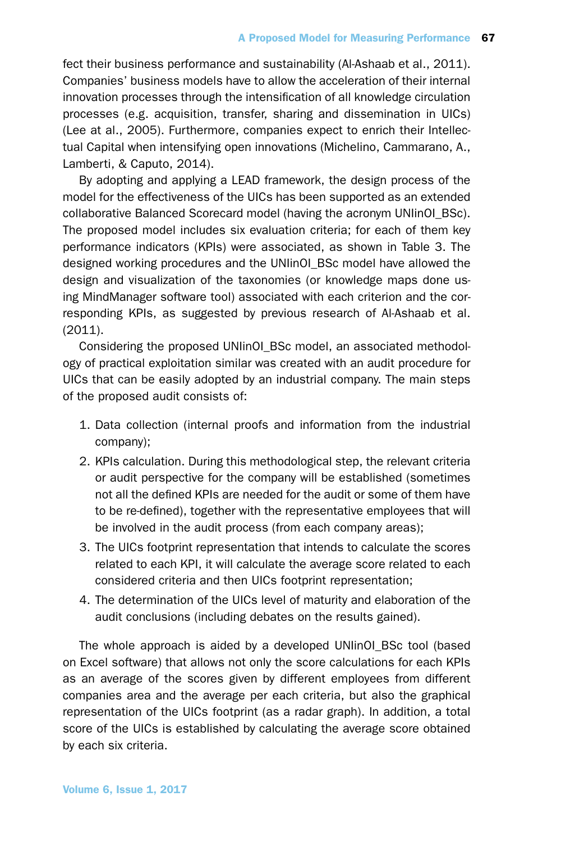fect their business performance and sustainability (Al-Ashaab et al., 2011). Companies' business models have to allow the acceleration of their internal innovation processes through the intensification of all knowledge circulation processes (e.g. acquisition, transfer, sharing and dissemination in UICs) (Lee at al., 2005). Furthermore, companies expect to enrich their Intellectual Capital when intensifying open innovations (Michelino, Cammarano, A., Lamberti, & Caputo, 2014).

By adopting and applying a LEAD framework, the design process of the model for the effectiveness of the UICs has been supported as an extended collaborative Balanced Scorecard model (having the acronym UNIinOI\_BSc). The proposed model includes six evaluation criteria; for each of them key performance indicators (KPIs) were associated, as shown in Table 3. The designed working procedures and the UNIinOI\_BSc model have allowed the design and visualization of the taxonomies (or knowledge maps done using MindManager software tool) associated with each criterion and the corresponding KPIs, as suggested by previous research of Al-Ashaab et al. (2011).

Considering the proposed UNIinOI\_BSc model, an associated methodology of practical exploitation similar was created with an audit procedure for UICs that can be easily adopted by an industrial company. The main steps of the proposed audit consists of:

- 1. Data collection (internal proofs and information from the industrial company);
- 2. KPIs calculation. During this methodological step, the relevant criteria or audit perspective for the company will be established (sometimes not all the defined KPIs are needed for the audit or some of them have to be re-defined), together with the representative employees that will be involved in the audit process (from each company areas);
- 3. The UICs footprint representation that intends to calculate the scores related to each KPI, it will calculate the average score related to each considered criteria and then UICs footprint representation;
- 4. The determination of the UICs level of maturity and elaboration of the audit conclusions (including debates on the results gained).

The whole approach is aided by a developed UNIinOI\_BSc tool (based on Excel software) that allows not only the score calculations for each KPIs as an average of the scores given by different employees from different companies area and the average per each criteria, but also the graphical representation of the UICs footprint (as a radar graph). In addition, a total score of the UICs is established by calculating the average score obtained by each six criteria.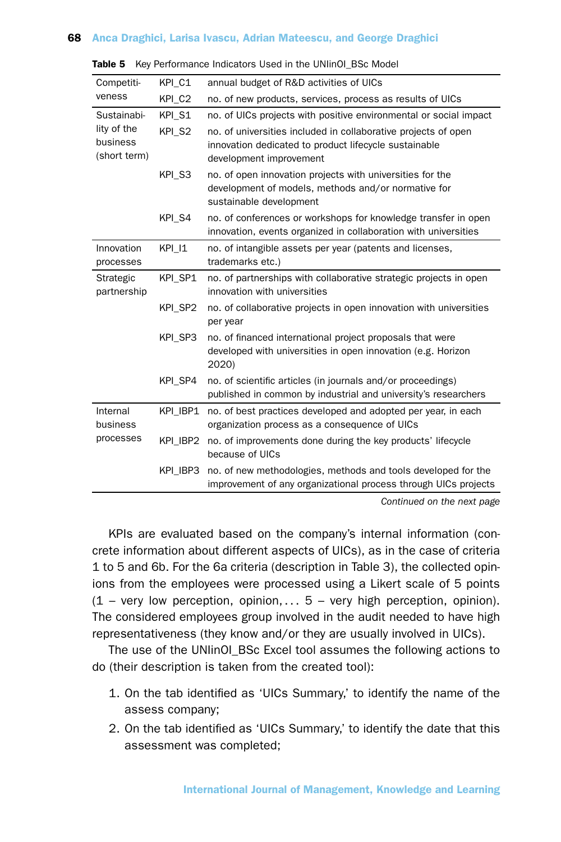| Competiti-                              | KPI C1   | annual budget of R&D activities of UICs                                                                                                            |  |  |
|-----------------------------------------|----------|----------------------------------------------------------------------------------------------------------------------------------------------------|--|--|
| veness                                  | KPI C2   | no. of new products, services, process as results of UICs                                                                                          |  |  |
| Sustainabi-                             | KPI S1   | no. of UICs projects with positive environmental or social impact                                                                                  |  |  |
| lity of the<br>business<br>(short term) | KPI_S2   | no. of universities included in collaborative projects of open<br>innovation dedicated to product lifecycle sustainable<br>development improvement |  |  |
|                                         | KPI S3   | no. of open innovation projects with universities for the<br>development of models, methods and/or normative for<br>sustainable development        |  |  |
|                                         | KPI S4   | no. of conferences or workshops for knowledge transfer in open<br>innovation, events organized in collaboration with universities                  |  |  |
| Innovation                              | KPI 11   | no. of intangible assets per year (patents and licenses,                                                                                           |  |  |
| processes                               |          | trademarks etc.)                                                                                                                                   |  |  |
| Strategic<br>partnership                | KPI SP1  | no. of partnerships with collaborative strategic projects in open<br>innovation with universities                                                  |  |  |
|                                         | KPI SP2  | no. of collaborative projects in open innovation with universities<br>per year                                                                     |  |  |
|                                         | KPI SP3  | no. of financed international project proposals that were<br>developed with universities in open innovation (e.g. Horizon<br>2020)                 |  |  |
|                                         | KPI SP4  | no. of scientific articles (in journals and/or proceedings)<br>published in common by industrial and university's researchers                      |  |  |
| Internal<br>business                    | KPI IBP1 | no. of best practices developed and adopted per year, in each<br>organization process as a consequence of UICs                                     |  |  |
| processes                               | KPI IBP2 | no. of improvements done during the key products' lifecycle<br>because of UICs                                                                     |  |  |
|                                         | KPI IBP3 | no. of new methodologies, methods and tools developed for the<br>improvement of any organizational process through UICs projects                   |  |  |

|  | Table 5 Key Performance Indicators Used in the UNIinOI_BSc Model |  |  |  |  |
|--|------------------------------------------------------------------|--|--|--|--|
|--|------------------------------------------------------------------|--|--|--|--|

*Continued on the next page*

KPIs are evaluated based on the company's internal information (concrete information about different aspects of UICs), as in the case of criteria 1 to 5 and 6b. For the 6a criteria (description in Table 3), the collected opinions from the employees were processed using a Likert scale of 5 points  $(1 - \text{very low perception}, \text{ opinion}, \dots 5 - \text{very high perception}, \text{ opinion}).$ The considered employees group involved in the audit needed to have high representativeness (they know and/or they are usually involved in UICs).

The use of the UNIinOI\_BSc Excel tool assumes the following actions to do (their description is taken from the created tool):

- 1. On the tab identified as 'UICs Summary,' to identify the name of the assess company;
- 2. On the tab identified as 'UICs Summary,' to identify the date that this assessment was completed;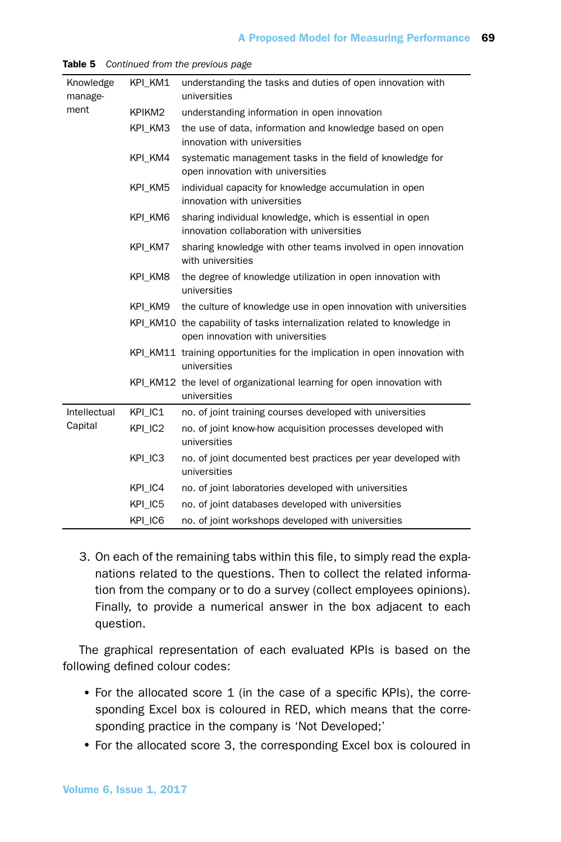| Knowledge<br>manage- | KPI KM1 | understanding the tasks and duties of open innovation with<br>universities                                    |  |  |
|----------------------|---------|---------------------------------------------------------------------------------------------------------------|--|--|
| ment                 | KPIKM2  | understanding information in open innovation                                                                  |  |  |
|                      | KPI KM3 | the use of data, information and knowledge based on open<br>innovation with universities                      |  |  |
|                      | KPI KM4 | systematic management tasks in the field of knowledge for<br>open innovation with universities                |  |  |
|                      | KPI KM5 | individual capacity for knowledge accumulation in open<br>innovation with universities                        |  |  |
|                      | KPI KM6 | sharing individual knowledge, which is essential in open<br>innovation collaboration with universities        |  |  |
|                      | KPI KM7 | sharing knowledge with other teams involved in open innovation<br>with universities                           |  |  |
|                      | KPI KM8 | the degree of knowledge utilization in open innovation with<br>universities                                   |  |  |
|                      | KPI KM9 | the culture of knowledge use in open innovation with universities                                             |  |  |
|                      |         | KPI_KM10 the capability of tasks internalization related to knowledge in<br>open innovation with universities |  |  |
|                      |         | KPI_KM11 training opportunities for the implication in open innovation with<br>universities                   |  |  |
|                      |         | KPI_KM12 the level of organizational learning for open innovation with<br>universities                        |  |  |
| Intellectual         | KPI IC1 | no. of joint training courses developed with universities                                                     |  |  |
| Capital              | KPI IC2 | no. of joint know-how acquisition processes developed with<br>universities                                    |  |  |
|                      | KPI IC3 | no. of joint documented best practices per year developed with<br>universities                                |  |  |
|                      | KPI IC4 | no. of joint laboratories developed with universities                                                         |  |  |
|                      | KPI IC5 | no. of joint databases developed with universities                                                            |  |  |
|                      | KPI_IC6 | no. of joint workshops developed with universities                                                            |  |  |

Table 5 *Continued from the previous page*

3. On each of the remaining tabs within this file, to simply read the explanations related to the questions. Then to collect the related information from the company or to do a survey (collect employees opinions). Finally, to provide a numerical answer in the box adjacent to each question.

The graphical representation of each evaluated KPIs is based on the following defined colour codes:

- For the allocated score 1 (in the case of a specific KPIs), the corresponding Excel box is coloured in RED, which means that the corresponding practice in the company is 'Not Developed;'
- For the allocated score 3, the corresponding Excel box is coloured in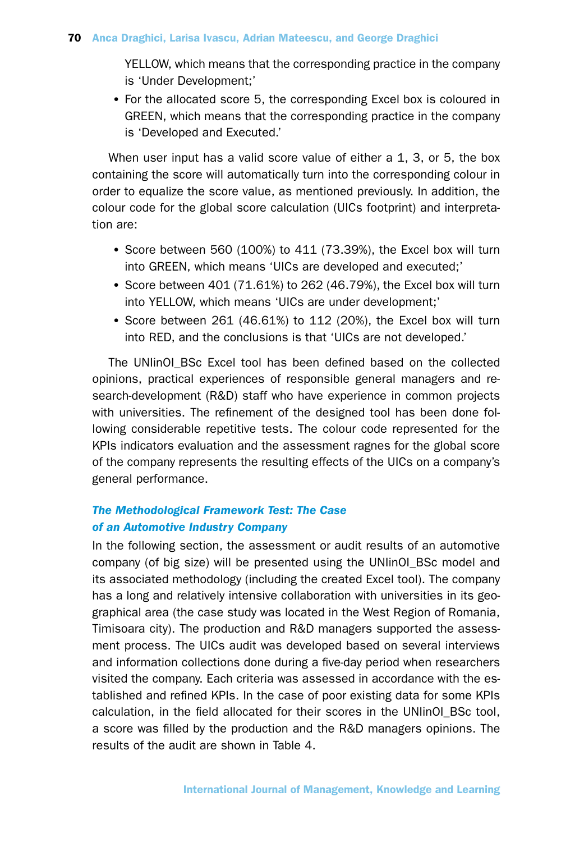YELLOW, which means that the corresponding practice in the company is 'Under Development;'

•For the allocated score 5, the corresponding Excel box is coloured in GREEN, which means that the corresponding practice in the company is 'Developed and Executed.'

When user input has a valid score value of either a 1, 3, or 5, the box containing the score will automatically turn into the corresponding colour in order to equalize the score value, as mentioned previously. In addition, the colour code for the global score calculation (UICs footprint) and interpretation are:

- •Score between 560 (100%) to 411 (73.39%), the Excel box will turn into GREEN, which means 'UICs are developed and executed;'
- •Score between 401 (71.61%) to 262 (46.79%), the Excel box will turn into YELLOW, which means 'UICs are under development;'
- •Score between 261 (46.61%) to 112 (20%), the Excel box will turn into RED, and the conclusions is that 'UICs are not developed.'

The UNIinOI BSc Excel tool has been defined based on the collected opinions, practical experiences of responsible general managers and research-development (R&D) staff who have experience in common projects with universities. The refinement of the designed tool has been done following considerable repetitive tests. The colour code represented for the KPIs indicators evaluation and the assessment ragnes for the global score of the company represents the resulting effects of the UICs on a company's general performance.

# *The Methodological Framework Test: The Case of an Automotive Industry Company*

In the following section, the assessment or audit results of an automotive company (of big size) will be presented using the UNIinOI\_BSc model and its associated methodology (including the created Excel tool). The company has a long and relatively intensive collaboration with universities in its geographical area (the case study was located in the West Region of Romania, Timisoara city). The production and R&D managers supported the assessment process. The UICs audit was developed based on several interviews and information collections done during a five-day period when researchers visited the company. Each criteria was assessed in accordance with the established and refined KPIs. In the case of poor existing data for some KPIs calculation, in the field allocated for their scores in the UNIinOI\_BSc tool, a score was filled by the production and the R&D managers opinions. The results of the audit are shown in Table 4.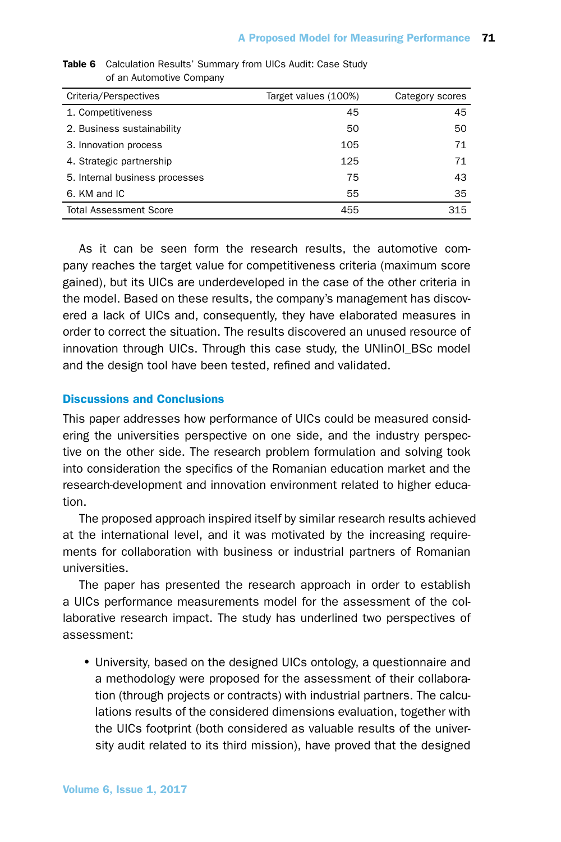| Criteria/Perspectives          | Target values (100%) | Category scores |
|--------------------------------|----------------------|-----------------|
| 1. Competitiveness             | 45                   | 45              |
| 2. Business sustainability     | 50                   | 50              |
| 3. Innovation process          | 105                  | 71              |
| 4. Strategic partnership       | 125                  | 71              |
| 5. Internal business processes | 75                   | 43              |
| 6. KM and IC                   | 55                   | 35              |
| <b>Total Assessment Score</b>  | 455                  | 315             |

Table 6 Calculation Results' Summary from UICs Audit: Case Study of an Automotive Company

As it can be seen form the research results, the automotive company reaches the target value for competitiveness criteria (maximum score gained), but its UICs are underdeveloped in the case of the other criteria in the model. Based on these results, the company's management has discovered a lack of UICs and, consequently, they have elaborated measures in order to correct the situation. The results discovered an unused resource of innovation through UICs. Through this case study, the UNIinOI\_BSc model and the design tool have been tested, refined and validated.

## Discussions and Conclusions

This paper addresses how performance of UICs could be measured considering the universities perspective on one side, and the industry perspective on the other side. The research problem formulation and solving took into consideration the specifics of the Romanian education market and the research-development and innovation environment related to higher education.

The proposed approach inspired itself by similar research results achieved at the international level, and it was motivated by the increasing requirements for collaboration with business or industrial partners of Romanian universities.

The paper has presented the research approach in order to establish a UICs performance measurements model for the assessment of the collaborative research impact. The study has underlined two perspectives of assessment:

•University, based on the designed UICs ontology, a questionnaire and a methodology were proposed for the assessment of their collaboration (through projects or contracts) with industrial partners. The calculations results of the considered dimensions evaluation, together with the UICs footprint (both considered as valuable results of the university audit related to its third mission), have proved that the designed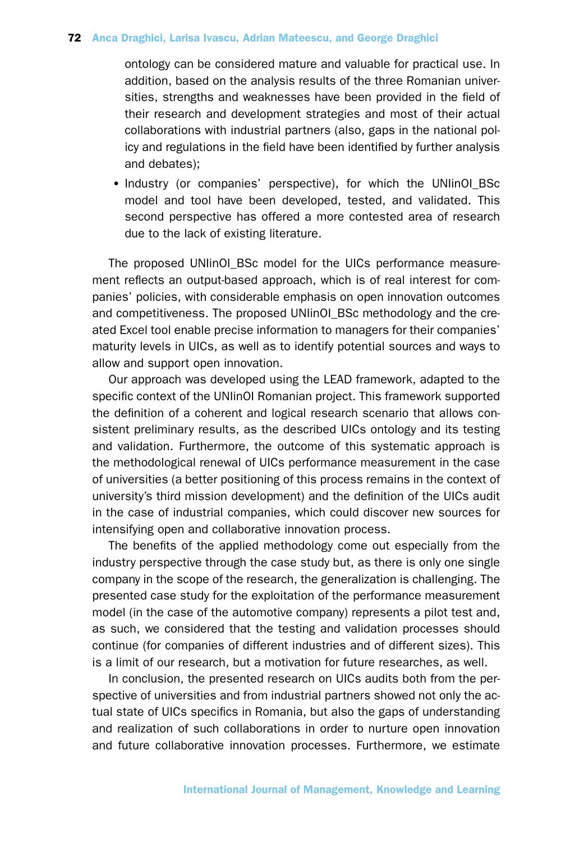ontology can be considered mature and valuable for practical use. In addition, based on the analysis results of the three Romanian universities, strengths and weaknesses have been provided in the field of their research and development strategies and most of their actual collaborations with industrial partners (also, gaps in the national policy and regulations in the field have been identified by further analysis and debates);

• Industry (or companies' perspective), for which the UNIinOI BSc model and tool have been developed, tested, and validated. This second perspective has offered a more contested area of research due to the lack of existing literature.

The proposed UNIinOI BSc model for the UICs performance measurement reflects an output-based approach, which is of real interest for companies' policies, with considerable emphasis on open innovation outcomes and competitiveness. The proposed UNIinOI\_BSc methodology and the created Excel tool enable precise information to managers for their companies' maturity levels in UICs, as well as to identify potential sources and ways to allow and support open innovation.

Our approach was developed using the LEAD framework, adapted to the specific context of the UNIinOI Romanian project. This framework supported the definition of a coherent and logical research scenario that allows consistent preliminary results, as the described UICs ontology and its testing and validation. Furthermore, the outcome of this systematic approach is the methodological renewal of UICs performance measurement in the case of universities (a better positioning of this process remains in the context of university's third mission development) and the definition of the UICs audit in the case of industrial companies, which could discover new sources for intensifying open and collaborative innovation process.

The benefits of the applied methodology come out especially from the industry perspective through the case study but, as there is only one single company in the scope of the research, the generalization is challenging. The presented case study for the exploitation of the performance measurement model (in the case of the automotive company) represents a pilot test and, as such, we considered that the testing and validation processes should continue (for companies of different industries and of different sizes). This is a limit of our research, but a motivation for future researches, as well.

In conclusion, the presented research on UICs audits both from the perspective of universities and from industrial partners showed not only the actual state of UICs specifics in Romania, but also the gaps of understanding and realization of such collaborations in order to nurture open innovation and future collaborative innovation processes. Furthermore, we estimate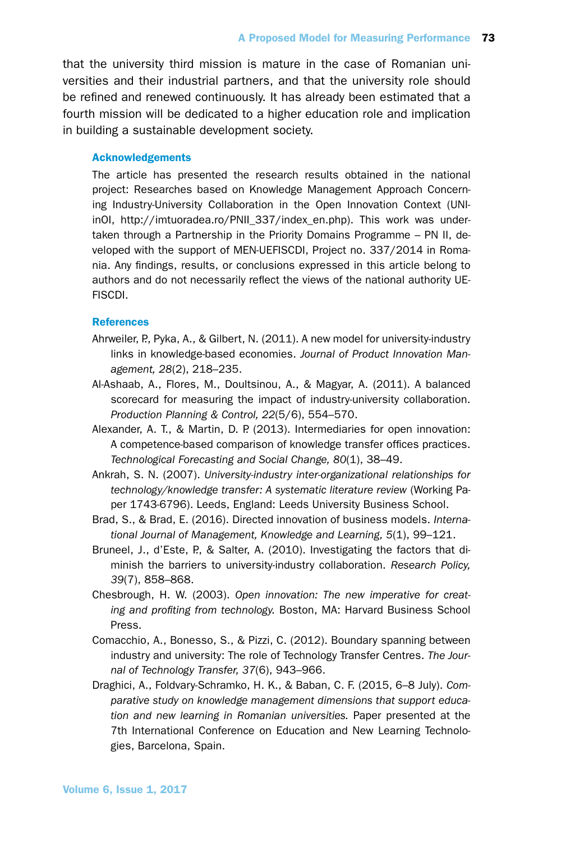that the university third mission is mature in the case of Romanian universities and their industrial partners, and that the university role should be refined and renewed continuously. It has already been estimated that a fourth mission will be dedicated to a higher education role and implication in building a sustainable development society.

#### Acknowledgements

The article has presented the research results obtained in the national project: Researches based on Knowledge Management Approach Concerning Industry-University Collaboration in the Open Innovation Context (UNIinOI, http://imtuoradea.ro/PNII\_337/index\_en.php). This work was undertaken through a Partnership in the Priority Domains Programme – PN II, developed with the support of MEN-UEFISCDI, Project no. 337/2014 in Romania. Any findings, results, or conclusions expressed in this article belong to authors and do not necessarily reflect the views of the national authority UE-FISCDI.

#### References

- Ahrweiler, P., Pyka, A., & Gilbert, N. (2011). A new model for university-industry links in knowledge-based economies. *Journal of Product Innovation Management, 28*(2), 218–235.
- Al-Ashaab, A., Flores, M., Doultsinou, A., & Magyar, A. (2011). A balanced scorecard for measuring the impact of industry-university collaboration. *Production Planning & Control, 22*(5/6), 554–570.
- Alexander, A. T., & Martin, D. P. (2013). Intermediaries for open innovation: A competence-based comparison of knowledge transfer offices practices. *Technological Forecasting and Social Change, 80*(1), 38–49.
- Ankrah, S. N. (2007). *University-industry inter-organizational relationships for technology/knowledge transfer: A systematic literature review* (Working Paper 1743-6796). Leeds, England: Leeds University Business School.
- Brad, S., & Brad, E. (2016). Directed innovation of business models. *International Journal of Management, Knowledge and Learning, 5*(1), 99–121.
- Bruneel, J., d'Este, P., & Salter, A. (2010). Investigating the factors that diminish the barriers to university-industry collaboration. *Research Policy, 39*(7), 858–868.
- Chesbrough, H. W. (2003). *Open innovation: The new imperative for creating and profiting from technology.* Boston, MA: Harvard Business School Press.
- Comacchio, A., Bonesso, S., & Pizzi, C. (2012). Boundary spanning between industry and university: The role of Technology Transfer Centres. *The Journal of Technology Transfer, 37*(6), 943–966.
- Draghici, A., Foldvary-Schramko, H. K., & Baban, C. F. (2015, 6–8 July). *Comparative study on knowledge management dimensions that support education and new learning in Romanian universities.* Paper presented at the 7th International Conference on Education and New Learning Technologies, Barcelona, Spain.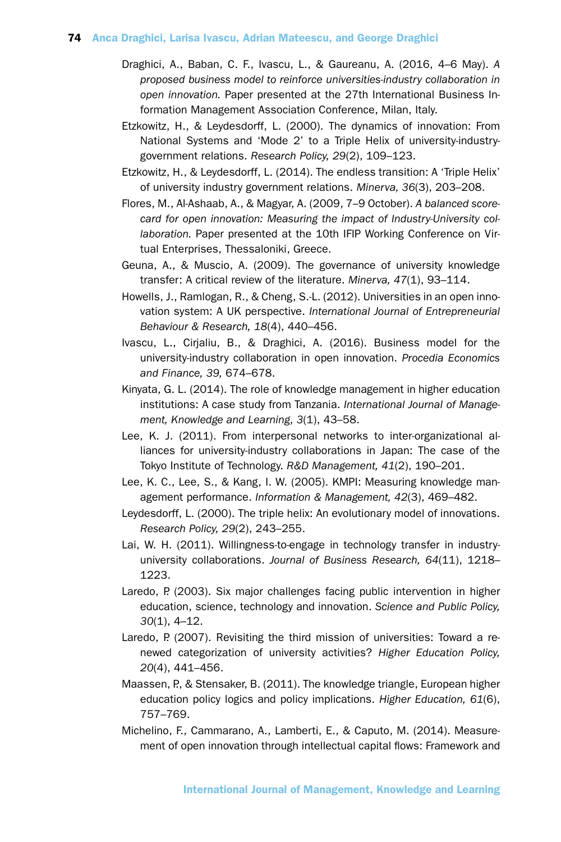- Draghici, A., Baban, C. F., Ivascu, L., & Gaureanu, A. (2016, 4–6 May). *A proposed business model to reinforce universities-industry collaboration in open innovation.* Paper presented at the 27th International Business Information Management Association Conference, Milan, Italy.
- Etzkowitz, H., & Leydesdorff, L. (2000). The dynamics of innovation: From National Systems and 'Mode 2' to a Triple Helix of university-industrygovernment relations. *Research Policy, 29*(2), 109–123.
- Etzkowitz, H., & Leydesdorff, L. (2014). The endless transition: A 'Triple Helix' of university industry government relations. *Minerva, 36*(3), 203–208.
- Flores, M., Al-Ashaab, A., & Magyar, A. (2009, 7–9 October). *A balanced scorecard for open innovation: Measuring the impact of Industry-University collaboration.* Paper presented at the 10th IFIP Working Conference on Virtual Enterprises, Thessaloniki, Greece.
- Geuna, A., & Muscio, A. (2009). The governance of university knowledge transfer: A critical review of the literature. *Minerva, 47*(1), 93–114.
- Howells, J., Ramlogan, R., & Cheng, S.-L. (2012). Universities in an open innovation system: A UK perspective. *International Journal of Entrepreneurial Behaviour & Research, 18*(4), 440–456.
- Ivascu, L., Cirjaliu, B., & Draghici, A. (2016). Business model for the university-industry collaboration in open innovation. *Procedia Economics and Finance, 39,* 674–678.
- Kinyata, G. L. (2014). The role of knowledge management in higher education institutions: A case study from Tanzania. *International Journal of Management, Knowledge and Learning, 3*(1), 43–58.
- Lee, K. J. (2011). From interpersonal networks to inter-organizational alliances for university-industry collaborations in Japan: The case of the Tokyo Institute of Technology. *R&D Management, 41*(2), 190–201.
- Lee, K. C., Lee, S., & Kang, I. W. (2005). KMPI: Measuring knowledge management performance. *Information & Management, 42*(3), 469–482.
- Leydesdorff, L. (2000). The triple helix: An evolutionary model of innovations. *Research Policy, 29*(2), 243–255.
- Lai, W. H. (2011). Willingness-to-engage in technology transfer in industryuniversity collaborations. *Journal of Business Research, 64*(11), 1218– 1223.
- Laredo, P. (2003). Six major challenges facing public intervention in higher education, science, technology and innovation. *Science and Public Policy, 30*(1), 4–12.
- Laredo, P. (2007). Revisiting the third mission of universities: Toward a renewed categorization of university activities? *Higher Education Policy, 20*(4), 441–456.
- Maassen, P., & Stensaker, B. (2011). The knowledge triangle, European higher education policy logics and policy implications. *Higher Education, 61*(6), 757–769.
- Michelino, F., Cammarano, A., Lamberti, E., & Caputo, M. (2014). Measurement of open innovation through intellectual capital flows: Framework and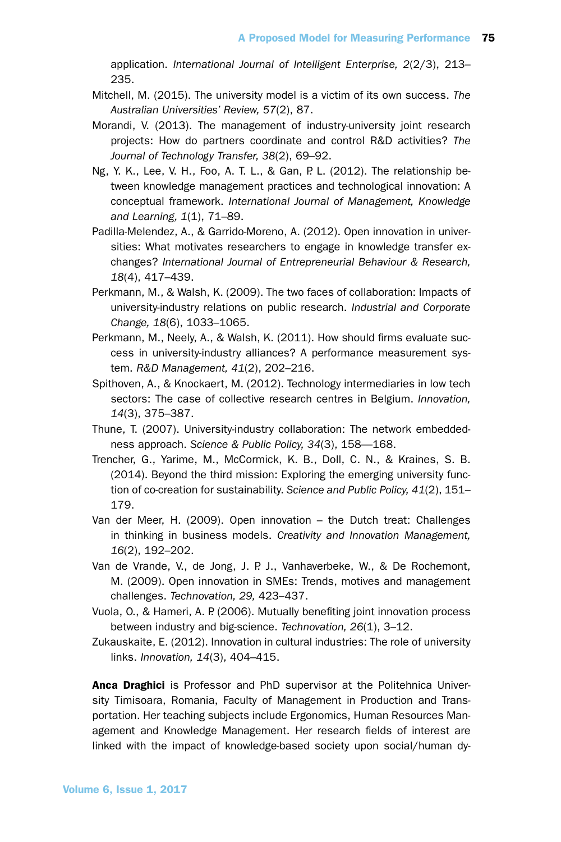application. *International Journal of Intelligent Enterprise, 2*(2/3), 213– 235.

- Mitchell, M. (2015). The university model is a victim of its own success. *The Australian Universities' Review, 57*(2), 87.
- Morandi, V. (2013). The management of industry-university joint research projects: How do partners coordinate and control R&D activities? *The Journal of Technology Transfer, 38*(2), 69–92.
- Ng, Y. K., Lee, V. H., Foo, A. T. L., & Gan, P. L. (2012). The relationship between knowledge management practices and technological innovation: A conceptual framework. *International Journal of Management, Knowledge and Learning, 1*(1), 71–89.
- Padilla-Melendez, A., & Garrido-Moreno, A. (2012). Open innovation in universities: What motivates researchers to engage in knowledge transfer exchanges? *International Journal of Entrepreneurial Behaviour & Research, 18*(4), 417–439.
- Perkmann, M., & Walsh, K. (2009). The two faces of collaboration: Impacts of university-industry relations on public research. *Industrial and Corporate Change, 18*(6), 1033–1065.
- Perkmann, M., Neely, A., & Walsh, K. (2011). How should firms evaluate success in university-industry alliances? A performance measurement system. *R&D Management, 41*(2), 202–216.
- Spithoven, A., & Knockaert, M. (2012). Technology intermediaries in low tech sectors: The case of collective research centres in Belgium. *Innovation, 14*(3), 375–387.
- Thune, T. (2007). University-industry collaboration: The network embeddedness approach. *Science & Public Policy, 34*(3), 158—168.
- Trencher, G., Yarime, M., McCormick, K. B., Doll, C. N., & Kraines, S. B. (2014). Beyond the third mission: Exploring the emerging university function of co-creation for sustainability. *Science and Public Policy, 41*(2), 151– 179.
- Van der Meer, H. (2009). Open innovation the Dutch treat: Challenges in thinking in business models. *Creativity and Innovation Management, 16*(2), 192–202.
- Van de Vrande, V., de Jong, J. P. J., Vanhaverbeke, W., & De Rochemont, M. (2009). Open innovation in SMEs: Trends, motives and management challenges. *Technovation, 29,* 423–437.
- Vuola, O., & Hameri, A. P. (2006). Mutually benefiting joint innovation process between industry and big-science. *Technovation, 26*(1), 3–12.
- Zukauskaite, E. (2012). Innovation in cultural industries: The role of university links. *Innovation, 14*(3), 404–415.

Anca Draghici is Professor and PhD supervisor at the Politehnica University Timisoara, Romania, Faculty of Management in Production and Transportation. Her teaching subjects include Ergonomics, Human Resources Management and Knowledge Management. Her research fields of interest are linked with the impact of knowledge-based society upon social/human dy-